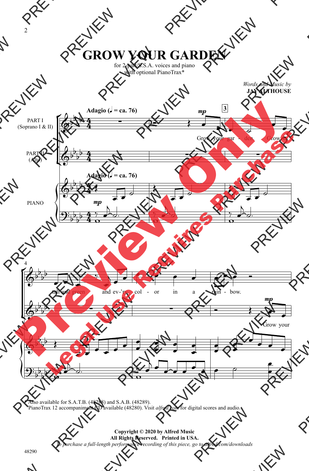## **GROW YOUR GARDEN**

for 2-part/S.S.A. voices and piano with optional PianoTrax<sup>\*</sup>

> *Words and Music by* **JAY ALTHOUSE**



<sup>\*</sup> Also available for S.A.T.B. (48288) and S.A.B. (48289). PianoTrax 12 accompaniment CD available (48280). Visit *alfred.com* for digital scores and audio.

## **Copyright © 2020 by Alfred Music All Rights Reserved. Printed in USA.** *To purchase a full-length performance recording of this piece, go to alfred.com/downloads*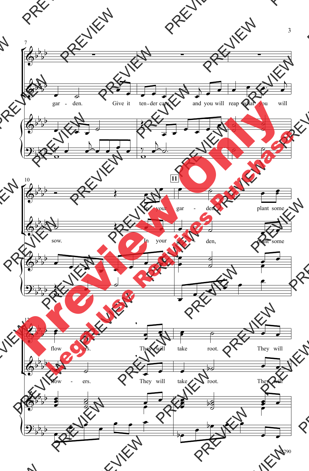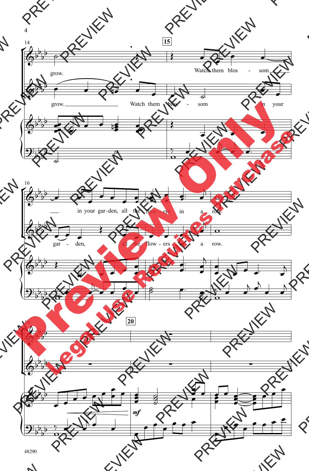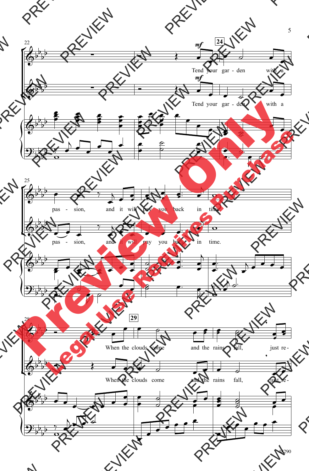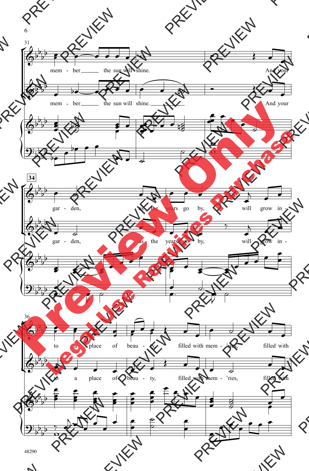